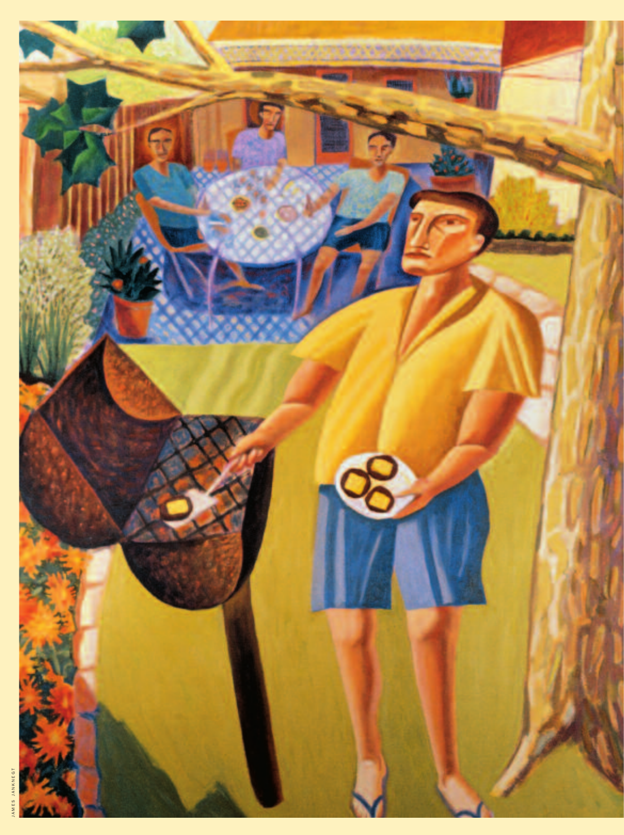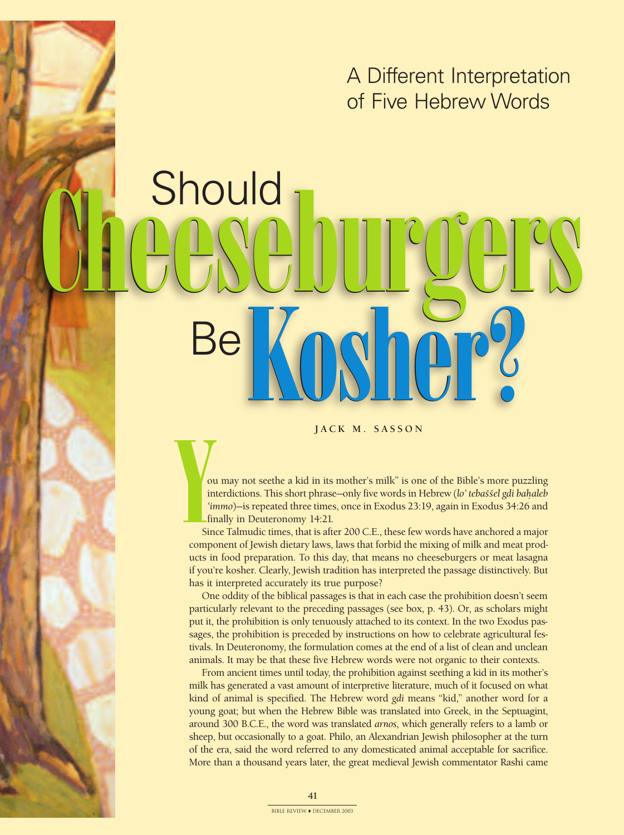### A Different Interpretation of Five Hebrew Words

# **Should** Cheeseburgers

JACK M. SASSON

V<sub>ou</sub><br>
in<br>
in<br>
sin<br>
compo ou may not seethe a kid in its mother's milk" is one of the Bible's more puzzling interdictions. This short phrase-only five words in Hebrew (lo' tebaššel gdi bahaleb *'immo*)—is repeated three times, once in Exodus 23:19, again in Exodus 34:26 and finally in Deuteronomy 14:21.

Since Talmudic times, that is after 200 C.E., these few words have anchored a major component of Jewish dietary laws, laws that forbid the mixing of milk and meat products in food preparation. To this day, that means no cheeseburgers or meat lasagna if you're kosher. Clearly, Jewish tradition has interpreted the passage distinctively. But has it interpreted accurately its true purpose?

One oddity of the biblical passages is that in each case the prohibition doesn't seem particularly relevant to the preceding passages (see box, p. 43). Or, as scholars might put it, the prohibition is only tenuously attached to its context. In the two Exodus passages, the prohibition is preceded by instructions on how to celebrate agricultural festivals. In Deuteronomy, the formulation comes at the end of a list of clean and unclean animals. It may be that these five Hebrew words were not organic to their contexts.

From ancient times until today, the prohibition against seething a kid in its mother's milk has generated a vast amount of interpretive literature, much of it focused on what kind of animal is specified. The Hebrew word *gdi* means "kid," another word for a young goat; but when the Hebrew Bible was translated into Greek, in the Septuagint, around 300 B.C.E., the word was translated *arnos*, which generally refers to a lamb or sheep, but occasionally to a goat. Philo, an Alexandrian Jewish philosopher at the turn of the era, said the word referred to any domesticated animal acceptable for sacrifice. More than a thousand years later, the great medieval Jewish commentator Rashi came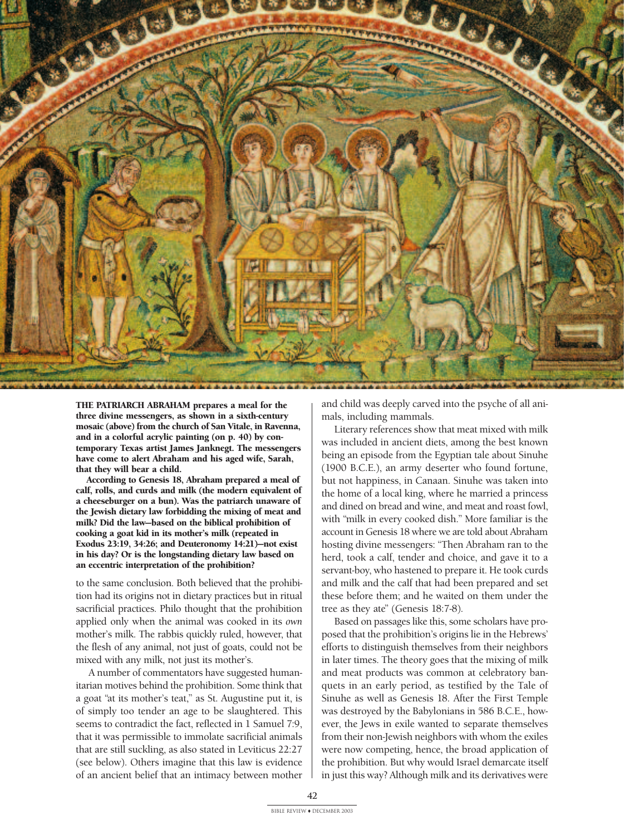

**THE PATRIARCH ABRAHAM prepares a meal for the three divine messengers, as shown in a sixth-century mosaic (above) from the church of San Vitale, in Ravenna, and in a colorful acrylic painting (on p. 40) by contemporary Texas artist James Janknegt. The messengers have come to alert Abraham and his aged wife, Sarah, that they will bear a child.**

**According to Genesis 18, Abraham prepared a meal of calf, rolls, and curds and milk (the modern equivalent of a cheeseburger on a bun). Was the patriarch unaware of the Jewish dietary law forbidding the mixing of meat and milk? Did the law—based on the biblical prohibition of cooking a goat kid in its mother's milk (repeated in Exodus 23:19, 34:26; and Deuteronomy 14:21)—not exist in his day? Or is the longstanding dietary law based on an eccentric interpretation of the prohibition?**

to the same conclusion. Both believed that the prohibition had its origins not in dietary practices but in ritual sacrificial practices. Philo thought that the prohibition applied only when the animal was cooked in its *own* mother's milk. The rabbis quickly ruled, however, that the flesh of any animal, not just of goats, could not be mixed with any milk, not just its mother's.

A number of commentators have suggested humanitarian motives behind the prohibition. Some think that a goat "at its mother's teat," as St. Augustine put it, is of simply too tender an age to be slaughtered. This seems to contradict the fact, reflected in 1 Samuel 7:9, that it was permissible to immolate sacrificial animals that are still suckling, as also stated in Leviticus 22:27 (see below). Others imagine that this law is evidence of an ancient belief that an intimacy between mother

and child was deeply carved into the psyche of all animals, including mammals.

Literary references show that meat mixed with milk was included in ancient diets, among the best known being an episode from the Egyptian tale about Sinuhe (1900 B.C.E.), an army deserter who found fortune, but not happiness, in Canaan. Sinuhe was taken into the home of a local king, where he married a princess and dined on bread and wine, and meat and roast fowl, with "milk in every cooked dish." More familiar is the account in Genesis 18 where we are told about Abraham hosting divine messengers: "Then Abraham ran to the herd, took a calf, tender and choice, and gave it to a servant-boy, who hastened to prepare it. He took curds and milk and the calf that had been prepared and set these before them; and he waited on them under the tree as they ate" (Genesis 18:7-8).

Based on passages like this, some scholars have proposed that the prohibition's origins lie in the Hebrews' efforts to distinguish themselves from their neighbors in later times. The theory goes that the mixing of milk and meat products was common at celebratory banquets in an early period, as testified by the Tale of Sinuhe as well as Genesis 18. After the First Temple was destroyed by the Babylonians in 586 B.C.E., however, the Jews in exile wanted to separate themselves from their non-Jewish neighbors with whom the exiles were now competing, hence, the broad application of the prohibition. But why would Israel demarcate itself in just this way? Although milk and its derivatives were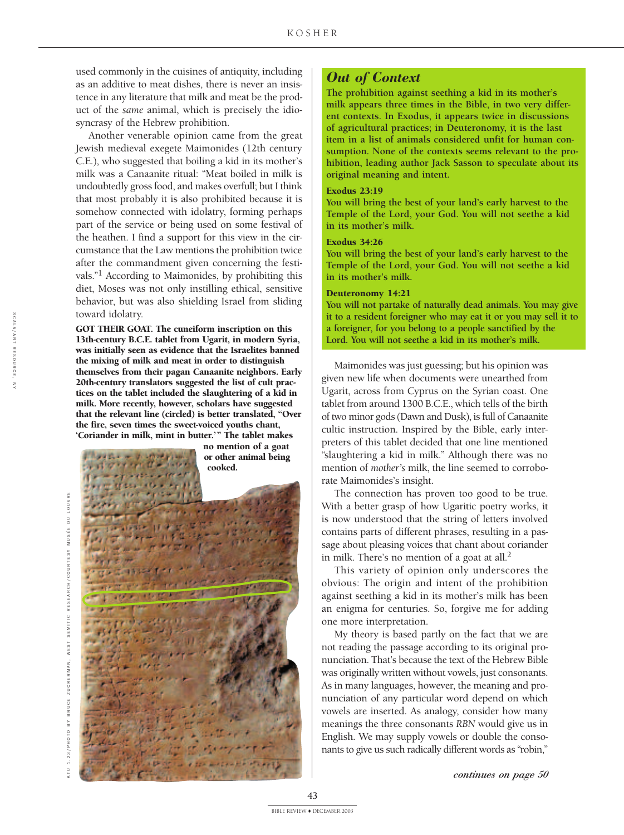used commonly in the cuisines of antiquity, including as an additive to meat dishes, there is never an insistence in any literature that milk and meat be the product of the *same* animal, which is precisely the idiosyncrasy of the Hebrew prohibition.

Another venerable opinion came from the great Jewish medieval exegete Maimonides (12th century C.E.), who suggested that boiling a kid in its mother's milk was a Canaanite ritual: "Meat boiled in milk is undoubtedly gross food, and makes overfull; but I think that most probably it is also prohibited because it is somehow connected with idolatry, forming perhaps part of the service or being used on some festival of the heathen. I find a support for this view in the circumstance that the Law mentions the prohibition twice after the commandment given concerning the festivals."1 According to Maimonides, by prohibiting this diet, Moses was not only instilling ethical, sensitive behavior, but was also shielding Israel from sliding toward idolatry.

**GOT THEIR GOAT. The cuneiform inscription on this 13th-century B.C.E. tablet from Ugarit, in modern Syria, was initially seen as evidence that the Israelites banned the mixing of milk and meat in order to distinguish themselves from their pagan Canaanite neighbors. Early 20th-century translators suggested the list of cult practices on the tablet included the slaughtering of a kid in milk. More recently, however, scholars have suggested that the relevant line (circled) is better translated, "Over the fire, seven times the sweet-voiced youths chant, 'Coriander in milk, mint in butter.'" The tablet makes**

**no mention of a goat or other animal being cooked.**

#### *Out of Context*

The prohibition against seething a kid in its mother's milk appears three times in the Bible, in two very different contexts. In Exodus, it appears twice in discussions of agricultural practices; in Deuteronomy, it is the last item in a list of animals considered unfit for human consumption. None of the contexts seems relevant to the prohibition, leading author Jack Sasson to speculate about its original meaning and intent.

#### **Exodus 23:19**

You will bring the best of your land's early harvest to the Temple of the Lord, your God. You will not seethe a kid in its mother's milk.

#### **Exodus 34:26**

You will bring the best of your land's early harvest to the Temple of the Lord, your God. You will not seethe a kid in its mother's milk.

#### **Deuteronomy 14:21**

You will not partake of naturally dead animals. You may give it to a resident foreigner who may eat it or you may sell it to a foreigner, for you belong to a people sanctified by the Lord. You will not seethe a kid in its mother's milk.

Maimonides was just guessing; but his opinion was given new life when documents were unearthed from Ugarit, across from Cyprus on the Syrian coast. One tablet from around 1300 B.C.E., which tells of the birth of two minor gods (Dawn and Dusk), is full of Canaanite cultic instruction. Inspired by the Bible, early interpreters of this tablet decided that one line mentioned "slaughtering a kid in milk." Although there was no mention of *mother's* milk, the line seemed to corroborate Maimonides's insight.

The connection has proven too good to be true. With a better grasp of how Ugaritic poetry works, it is now understood that the string of letters involved contains parts of different phrases, resulting in a passage about pleasing voices that chant about coriander in milk. There's no mention of a goat at all. $<sup>2</sup>$ </sup>

This variety of opinion only underscores the obvious: The origin and intent of the prohibition against seething a kid in its mother's milk has been an enigma for centuries. So, forgive me for adding one more interpretation.

My theory is based partly on the fact that we are not reading the passage according to its original pronunciation. That's because the text of the Hebrew Bible was originally written without vowels, just consonants. As in many languages, however, the meaning and pronunciation of any particular word depend on which vowels are inserted. As analogy, consider how many meanings the three consonants *RBN* would give us in English. We may supply vowels or double the consonants to give us such radically different words as "robin,"

S C A L A / A R T R E S O U R C E ,

Z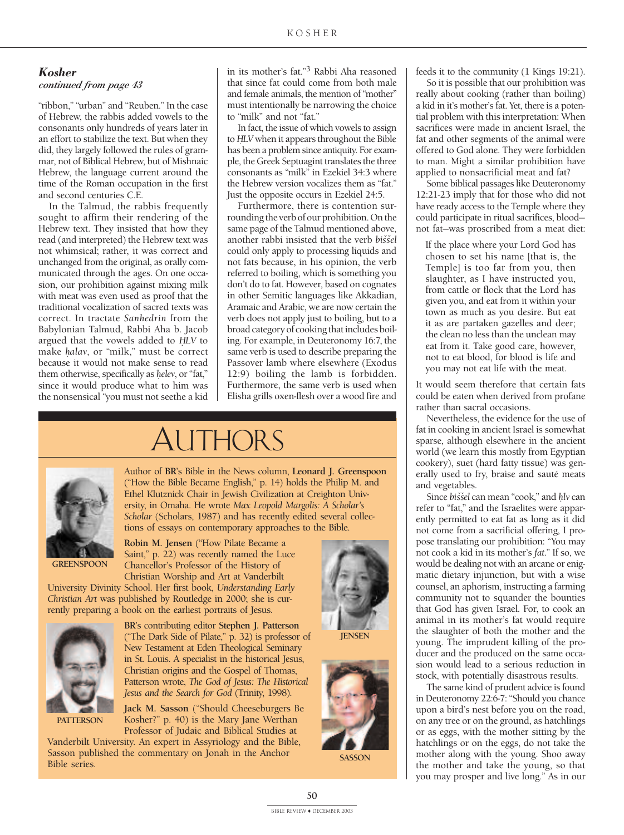#### *Kosher*

#### *continued from page 43*

"ribbon," "urban" and "Reuben." In the case of Hebrew, the rabbis added vowels to the consonants only hundreds of years later in an effort to stabilize the text. But when they did, they largely followed the rules of grammar, not of Biblical Hebrew, but of Mishnaic Hebrew, the language current around the time of the Roman occupation in the first and second centuries C.E.

In the Talmud, the rabbis frequently sought to affirm their rendering of the Hebrew text. They insisted that how they read (and interpreted) the Hebrew text was not whimsical; rather, it was correct and unchanged from the original, as orally communicated through the ages. On one occasion, our prohibition against mixing milk with meat was even used as proof that the traditional vocalization of sacred texts was correct. In tractate *Sanhedrin* from the Babylonian Talmud, Rabbi Aha b. Jacob argued that the vowels added to *HLV* to make *halav*, or "milk," must be correct because it would not make sense to read them otherwise, specifically as *helev*, or "fat," since it would produce what to him was the nonsensical "you must not seethe a kid

in its mother's fat."3 Rabbi Aha reasoned that since fat could come from both male and female animals, the mention of "mother" must intentionally be narrowing the choice to "milk" and not "fat."

In fact, the issue of which vowels to assign to *H.LV* when it appears throughout the Bible has been a problem since antiquity. For example, the Greek Septuagint translates the three consonants as "milk" in Ezekiel 34:3 where the Hebrew version vocalizes them as "fat." Just the opposite occurs in Ezekiel 24:5.

Furthermore, there is contention surrounding the verb of our prohibition. On the same page of the Talmud mentioned above, another rabbi insisted that the verb *bisˇˇsel* could only apply to processing liquids and not fats because, in his opinion, the verb referred to boiling, which is something you don't do to fat. However, based on cognates in other Semitic languages like Akkadian, Aramaic and Arabic, we are now certain the verb does not apply just to boiling, but to a broad category of cooking that includes boiling. For example, in Deuteronomy 16:7, the same verb is used to describe preparing the Passover lamb where elsewhere (Exodus 12:9) boiling the lamb is forbidden. Furthermore, the same verb is used when Elisha grills oxen-flesh over a wood fire and

# Authors



Author of BR's Bible in the News column, Leonard J. Greenspoon ("How the Bible Became English," p. 14) holds the Philip M. and Ethel Klutznick Chair in Jewish Civilization at Creighton University, in Omaha. He wrote *Max Leopold Margolis: A Scholar's Scholar* (Scholars, 1987) and has recently edited several collections of essays on contemporary approaches to the Bible.

**GREENSPOON** 

Robin M. Jensen ("How Pilate Became a Saint," p. 22) was recently named the Luce Chancellor's Professor of the History of Christian Worship and Art at Vanderbilt

University Divinity School. Her first book, *Understanding Early Christian Art* was published by Routledge in 2000; she is currently preparing a book on the earliest portraits of Jesus.



**PATTERSON** 

BR's contributing editor Stephen J. Patterson ("The Dark Side of Pilate," p. 32) is professor of New Testament at Eden Theological Seminary in St. Louis. A specialist in the historical Jesus, Christian origins and the Gospel of Thomas, Patterson wrote, *The God of Jesus: The Historical Jesus and the Search for God* (Trinity, 1998).

Jack M. Sasson ("Should Cheeseburgers Be Kosher?" p. 40) is the Mary Jane Werthan Professor of Judaic and Biblical Studies at

Vanderbilt University. An expert in Assyriology and the Bible, Sasson published the commentary on Jonah in the Anchor Bible series.





**SASSON** 

feeds it to the community (1 Kings 19:21).

So it is possible that our prohibition was really about cooking (rather than boiling) a kid in it's mother's fat. Yet, there is a potential problem with this interpretation: When sacrifices were made in ancient Israel, the fat and other segments of the animal were offered to God alone. They were forbidden to man. Might a similar prohibition have applied to nonsacrificial meat and fat?

Some biblical passages like Deuteronomy 12:21-23 imply that for those who did not have ready access to the Temple where they could participate in ritual sacrifices, blood not fat—was proscribed from a meat diet:

If the place where your Lord God has chosen to set his name [that is, the Temple] is too far from you, then slaughter, as I have instructed you, from cattle or flock that the Lord has given you, and eat from it within your town as much as you desire. But eat it as are partaken gazelles and deer; the clean no less than the unclean may eat from it. Take good care, however, not to eat blood, for blood is life and you may not eat life with the meat.

It would seem therefore that certain fats could be eaten when derived from profane rather than sacral occasions.

Nevertheless, the evidence for the use of fat in cooking in ancient Israel is somewhat sparse, although elsewhere in the ancient world (we learn this mostly from Egyptian cookery), suet (hard fatty tissue) was generally used to fry, braise and sauté meats and vegetables.

Since *biss̆el* can mean "cook," and *hlv* can refer to "fat," and the Israelites were apparently permitted to eat fat as long as it did not come from a sacrificial offering, I propose translating our prohibition: "You may not cook a kid in its mother's *fat*." If so, we would be dealing not with an arcane or enigmatic dietary injunction, but with a wise counsel, an aphorism, instructing a farming community not to squander the bounties that God has given Israel. For, to cook an animal in its mother's fat would require the slaughter of both the mother and the young. The imprudent killing of the producer and the produced on the same occasion would lead to a serious reduction in stock, with potentially disastrous results.

The same kind of prudent advice is found in Deuteronomy 22:6-7: "Should you chance upon a bird's nest before you on the road, on any tree or on the ground, as hatchlings or as eggs, with the mother sitting by the hatchlings or on the eggs, do not take the mother along with the young. Shoo away the mother and take the young, so that you may prosper and live long." As in our